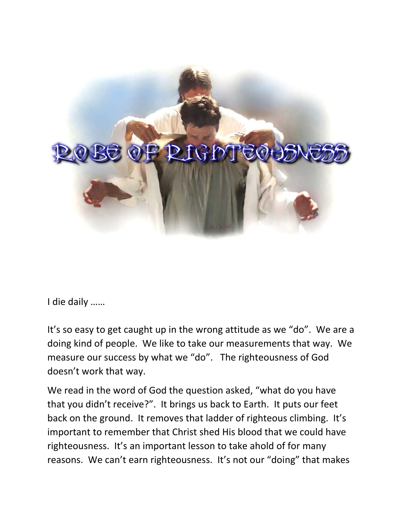

I die daily ……

It's so easy to get caught up in the wrong attitude as we "do". We are a doing kind of people. We like to take our measurements that way. We measure our success by what we "do". The righteousness of God doesn't work that way.

We read in the word of God the question asked, "what do you have that you didn't receive?". It brings us back to Earth. It puts our feet back on the ground. It removes that ladder of righteous climbing. It's important to remember that Christ shed His blood that we could have righteousness. It's an important lesson to take ahold of for many reasons. We can't earn righteousness. It's not our "doing" that makes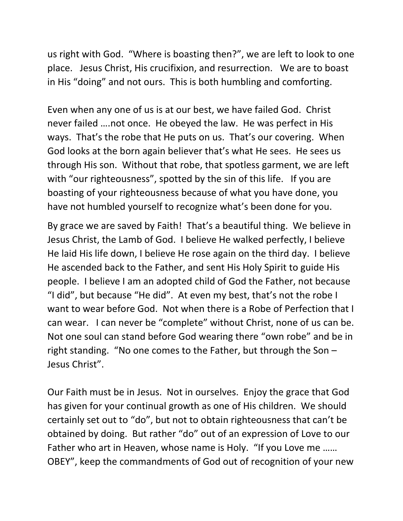us right with God. "Where is boasting then?", we are left to look to one place. Jesus Christ, His crucifixion, and resurrection. We are to boast in His "doing" and not ours. This is both humbling and comforting.

Even when any one of us is at our best, we have failed God. Christ never failed ….not once. He obeyed the law. He was perfect in His ways. That's the robe that He puts on us. That's our covering. When God looks at the born again believer that's what He sees. He sees us through His son. Without that robe, that spotless garment, we are left with "our righteousness", spotted by the sin of this life. If you are boasting of your righteousness because of what you have done, you have not humbled yourself to recognize what's been done for you.

By grace we are saved by Faith! That's a beautiful thing. We believe in Jesus Christ, the Lamb of God. I believe He walked perfectly, I believe He laid His life down, I believe He rose again on the third day. I believe He ascended back to the Father, and sent His Holy Spirit to guide His people. I believe I am an adopted child of God the Father, not because "I did", but because "He did". At even my best, that's not the robe I want to wear before God. Not when there is a Robe of Perfection that I can wear. I can never be "complete" without Christ, none of us can be. Not one soul can stand before God wearing there "own robe" and be in right standing. "No one comes to the Father, but through the Son – Jesus Christ".

Our Faith must be in Jesus. Not in ourselves. Enjoy the grace that God has given for your continual growth as one of His children. We should certainly set out to "do", but not to obtain righteousness that can't be obtained by doing. But rather "do" out of an expression of Love to our Father who art in Heaven, whose name is Holy. "If you Love me …… OBEY", keep the commandments of God out of recognition of your new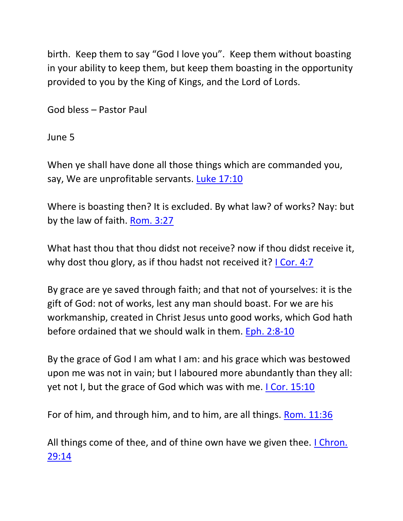birth. Keep them to say "God I love you". Keep them without boasting in your ability to keep them, but keep them boasting in the opportunity provided to you by the King of Kings, and the Lord of Lords.

God bless – Pastor Paul

June 5

When ye shall have done all those things which are commanded you, say, We are unprofitable servants. [Luke 17:10](https://biblia.com/bible/nkjv/Luke%2017.10)

Where is boasting then? It is excluded. By what law? of works? Nay: but by the law of faith. [Rom. 3:27](https://biblia.com/bible/nkjv/Rom.%203.27)

What hast thou that thou didst not receive? now if thou didst receive it, why dost thou glory, as if thou hadst not received it? *LCor. 4:7* 

By grace are ye saved through faith; and that not of yourselves: it is the gift of God: not of works, lest any man should boast. For we are his workmanship, created in Christ Jesus unto good works, which God hath before ordained that we should walk in them. [Eph. 2:8-10](https://biblia.com/bible/nkjv/Eph.%202.8-10)

By the grace of God I am what I am: and his grace which was bestowed upon me was not in vain; but I laboured more abundantly than they all: yet not I, but the grace of God which was with me. [I Cor. 15:10](https://biblia.com/bible/nkjv/1%20Cor.%2015.10)

For of him, and through him, and to him, are all things. [Rom. 11:36](https://biblia.com/bible/nkjv/Rom.%2011.36)

All things come of thee, and of thine own have we given thee. I Chron. [29:14](https://biblia.com/bible/nkjv/1%20Chron.%2029.14)